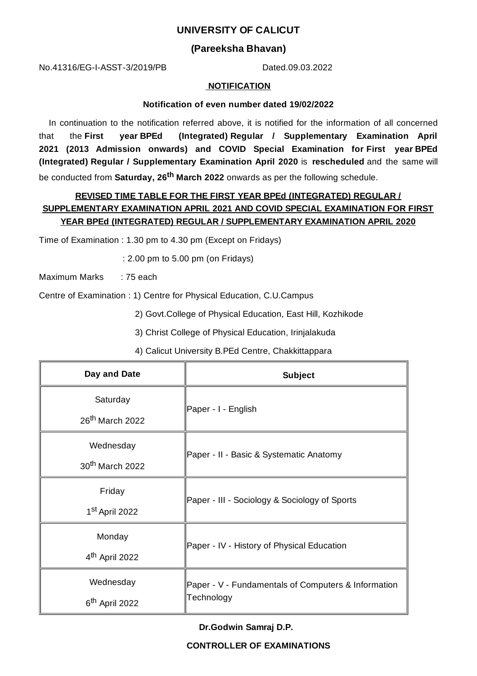### **UNIVERSITY OF CALICUT**

### **(Pareeksha Bhavan)**

No.41316/EG-I-ASST-3/2019/PB Dated.09.03.2022

#### **NOTIFICATION**

#### **Notification of even number dated 19/02/2022**

In continuation to the notification referred above, it is notified for the information of all concerned that the **First year BPEd (Integrated) Regular / Supplementary Examination April 2021 (2013 Admission onwards) and COVID Special Examination for First year BPEd (Integrated) Regular / Supplementary Examination April 2020** is **rescheduled** and the same will be conducted from **Saturday, 26 th March 2022** onwards as per the following schedule.

## **REVISED TIME TABLE FOR THE FIRST YEAR BPEd (INTEGRATED) REGULAR / SUPPLEMENTARY EXAMINATION APRIL 2021 AND COVID SPECIAL EXAMINATION FOR FIRST YEAR BPEd (INTEGRATED) REGULAR / SUPPLEMENTARY EXAMINATION APRIL 2020**

Time of Examination : 1.30 pm to 4.30 pm (Except on Fridays)

: 2.00 pm to 5.00 pm (on Fridays)

Maximum Marks : 75 each

Centre of Examination : 1) Centre for Physical Education, C.U.Campus

2) Govt.College of Physical Education, East Hill, Kozhikode

- 3) Christ College of Physical Education, Irinjalakuda
- 4) Calicut University B.PEd Centre, Chakkittappara

| Day and Date                | <b>Subject</b>                                                    |
|-----------------------------|-------------------------------------------------------------------|
| Saturday                    | Paper - I - English                                               |
| 26 <sup>th</sup> March 2022 |                                                                   |
| Wednesday                   |                                                                   |
| 30 <sup>th</sup> March 2022 | Paper - II - Basic & Systematic Anatomy                           |
| Friday                      |                                                                   |
| 1 <sup>st</sup> April 2022  | Paper - III - Sociology & Sociology of Sports                     |
| Monday                      | Paper - IV - History of Physical Education                        |
| 4 <sup>th</sup> April 2022  |                                                                   |
| Wednesday                   | Paper - V - Fundamentals of Computers & Information<br>Technology |
| 6 <sup>th</sup> April 2022  |                                                                   |

**Dr.Godwin Samraj D.P.**